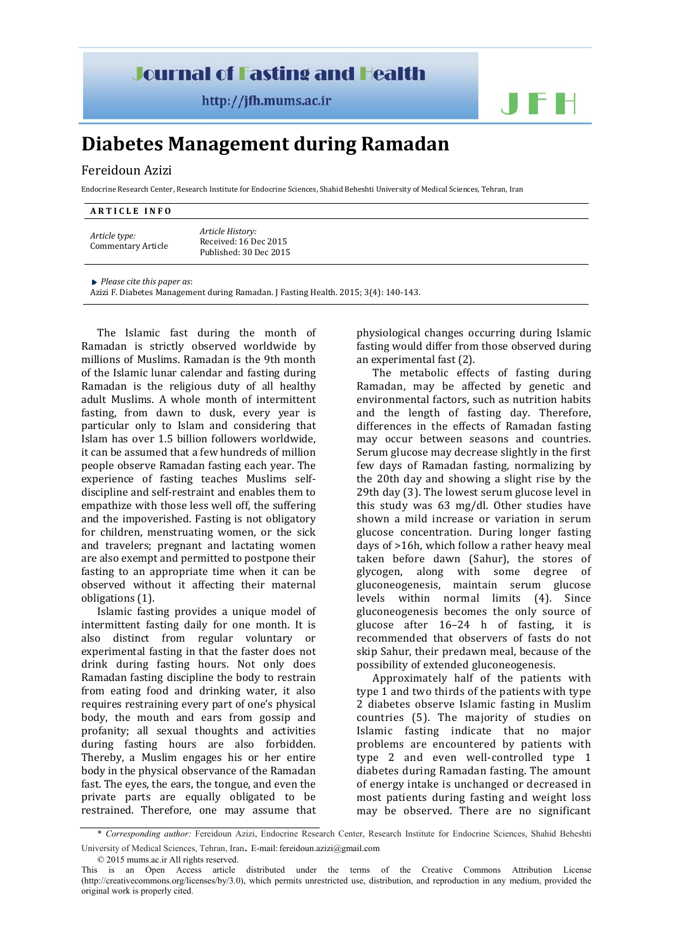## **Journal of Fasting and Health**

http://jfh.mums.ac.ir

## **Diabetes Management during Ramadan**

## Fereidoun Azizi

Endocrine Research Center, Research Institute for Endocrine Sciences, Shahid Beheshti University of Medical Sciences, Tehran, Iran

| <b>ARTICLE INFO</b>                 |                                                                     |
|-------------------------------------|---------------------------------------------------------------------|
| Article type:<br>Commentary Article | Article History:<br>Received: 16 Dec 2015<br>Published: 30 Dec 2015 |

*Please cite this paper as*:

Azizi F. Diabetes Management during Ramadan. J Fasting Health. 2015; 3(4): 140-143.

The Islamic fast during the month of Ramadan is strictly observed worldwide by millions of Muslims. Ramadan is the 9th month of the Islamic lunar calendar and fasting during Ramadan is the religious duty of all healthy adult Muslims. A whole month of intermittent fasting, from dawn to dusk, every year is particular only to Islam and considering that Islam has over 1.5 billion followers worldwide, it can be assumed that a few hundreds of million people observe Ramadan fasting each year. The experience of fasting teaches Muslims selfdiscipline and self-restraint and enables them to empathize with those less well off, the suffering and the impoverished. Fasting is not obligatory for children, menstruating women, or the sick and travelers; pregnant and lactating women are also exempt and permitted to postpone their fasting to an appropriate time when it can be observed without it affecting their maternal obligations (1).

Islamic fasting provides a unique model of intermittent fasting daily for one month. It is also distinct from regular voluntary or experimental fasting in that the faster does not drink during fasting hours. Not only does Ramadan fasting discipline the body to restrain from eating food and drinking water, it also requires restraining every part of one's physical body, the mouth and ears from gossip and profanity; all sexual thoughts and activities during fasting hours are also forbidden. Thereby, a Muslim engages his or her entire body in the physical observance of the Ramadan fast. The eyes, the ears, the tongue, and even the private parts are equally obligated to be restrained. Therefore, one may assume that

physiological changes occurring during Islamic fasting would differ from those observed during an experimental fast (2).

The metabolic effects of fasting during Ramadan, may be affected by genetic and environmental factors, such as nutrition habits and the length of fasting day. Therefore, differences in the effects of Ramadan fasting may occur between seasons and countries. Serum glucose may decrease slightly in the first few days of Ramadan fasting, normalizing by the 20th day and showing a slight rise by the 29th day (3). The lowest serum glucose level in this study was 63 mg/dl. Other studies have shown a mild increase or variation in serum glucose concentration. During longer fasting days of >16h, which follow a rather heavy meal taken before dawn (Sahur), the stores of glycogen, along with some degree of gluconeogenesis, maintain serum glucose levels within normal limits (4). Since gluconeogenesis becomes the only source of glucose after 16–24 h of fasting, it is recommended that observers of fasts do not skip Sahur, their predawn meal, because of the possibility of extended gluconeogenesis.

Approximately half of the patients with type 1 and two thirds of the patients with type 2 diabetes observe Islamic fasting in Muslim countries (5). The majority of studies on Islamic fasting indicate that no major problems are encountered by patients with type 2 and even well-controlled type 1 diabetes during Ramadan fasting. The amount of energy intake is unchanged or decreased in most patients during fasting and weight loss may be observed. There are no significant

<sup>\*</sup> *Corresponding author:* Fereidoun Azizi, Endocrine Research Center, Research Institute for Endocrine Sciences, Shahid Beheshti University of Medical Sciences, Tehran, Iran. E-mail: fereidoun.azizi@gmail.com

<sup>© 2015</sup> mums.ac.ir All rights reserved. This is an Open Access article distributed under the terms of the Creative Commons Attribution License (http://creativecommons.org/licenses/by/3.0), which permits unrestricted use, distribution, and reproduction in any medium, provided the original work is properly cited.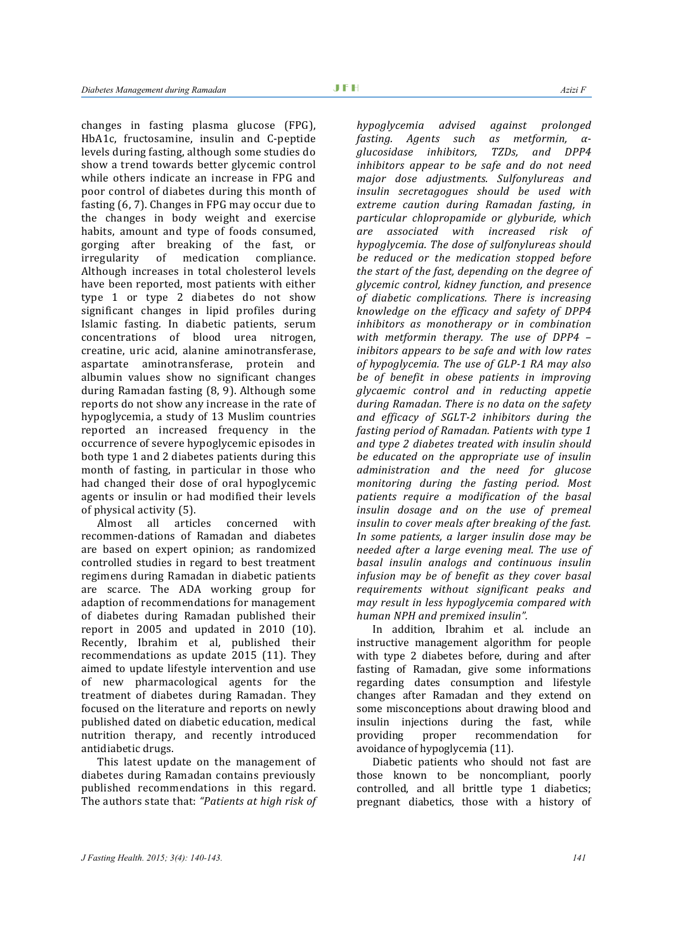changes in fasting plasma glucose (FPG), HbA1c, fructosamine, insulin and C-peptide levels during fasting, although some studies do show a trend towards better glycemic control while others indicate an increase in FPG and poor control of diabetes during this month of fasting (6, 7). Changes in FPG may occur due to the changes in body weight and exercise habits, amount and type of foods consumed. gorging after breaking of the fast, or<br>irregularity of medication compliance. irregularity of medication compliance. Although increases in total cholesterol levels have been reported, most patients with either type 1 or type 2 diabetes do not show significant changes in lipid profiles during Islamic fasting. In diabetic patients, serum<br>concentrations of blood urea nitrogen. concentrations of blood urea creatine, uric acid, alanine aminotransferase, aspartate aminotransferase, protein and albumin values show no significant changes during Ramadan fasting (8, 9). Although some reports do not show any increase in the rate of hypoglycemia, a study of 13 Muslim countries reported an increased frequency in the occurrence of severe hypoglycemic episodes in both type 1 and 2 diabetes patients during this month of fasting, in particular in those who had changed their dose of oral hypoglycemic agents or insulin or had modified their levels of physical activity (5).

articles concerned with recommen-dations of Ramadan and diabetes are based on expert opinion; as randomized controlled studies in regard to best treatment regimens during Ramadan in diabetic patients are scarce. The ADA working group for adaption of recommendations for management of diabetes during Ramadan published their report in 2005 and updated in 2010 (10). Recently, Ibrahim et al, published their recommendations as update 2015 (11). They aimed to update lifestyle intervention and use of new pharmacological agents for the treatment of diabetes during Ramadan. They focused on the literature and reports on newly published dated on diabetic education, medical nutrition therapy, and recently introduced antidiabetic drugs.

This latest update on the management of diabetes during Ramadan contains previously published recommendations in this regard. The authors state that: *"Patients at high risk of* 

*hypoglycemia advised against prolonged fasting. Agents such as metformin, αglucosidase inhibitors, TZDs, and DPP4 inhibitors appear to be safe and do not need major dose adjustments. Sulfonylureas and insulin secretagogues should be used with extreme caution during Ramadan fasting, in particular chlopropamide or glyburide, which are associated with increased risk of hypoglycemia. The dose of sulfonylureas should be reduced or the medication stopped before the start of the fast, depending on the degree of glycemic control, kidney function, and presence of diabetic complications. There is increasing knowledge on the efficacy and safety of DPP4 inhibitors as monotherapy or in combination with metformin therapy. The use of DPP4 – inibitors appears to be safe and with low rates of hypoglycemia. The use of GLP-1 RA may also be of benefit in obese patients in improving glycaemic control and in reducting appetie during Ramadan. There is no data on the safety and efficacy of SGLT-2 inhibitors during the fasting period of Ramadan. Patients with type 1 and type 2 diabetes treated with insulin should be educated on the appropriate use of insulin administration and the need for glucose monitoring during the fasting period. Most patients require a modification of the basal insulin dosage and on the use of premeal insulin to cover meals after breaking of the fast. In some patients, a larger insulin dose may be needed after a large evening meal. The use of basal insulin analogs and continuous insulin infusion may be of benefit as they cover basal requirements without significant peaks and may result in less hypoglycemia compared with human NPH and premixed insulin".*

In addition, Ibrahim et al. include an instructive management algorithm for people with type 2 diabetes before, during and after fasting of Ramadan, give some informations regarding dates consumption and lifestyle changes after Ramadan and they extend on some misconceptions about drawing blood and insulin injections during the fast, while<br>providing proper recommendation for recommendation avoidance of hypoglycemia (11).

Diabetic patients who should not fast are those known to be noncompliant, poorly controlled, and all brittle type 1 diabetics; pregnant diabetics, those with a history of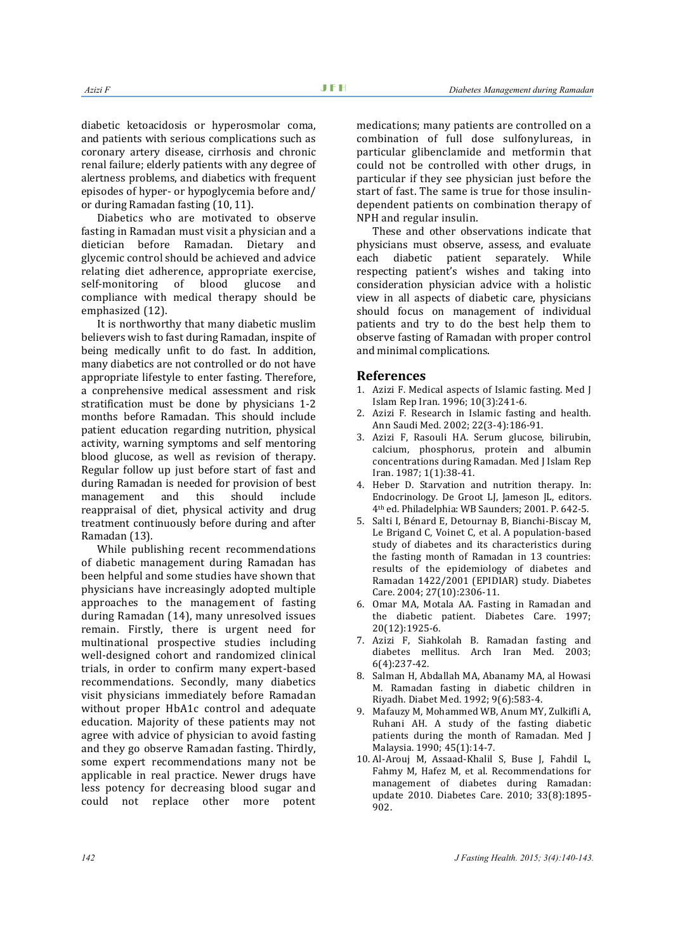diabetic ketoacidosis or hyperosmolar coma, and patients with serious complications such as coronary artery disease, cirrhosis and chronic renal failure; elderly patients with any degree of alertness problems, and diabetics with frequent episodes of hyper- or hypoglycemia before and/ or during Ramadan fasting (10, 11).

Diabetics who are motivated to observe fasting in Ramadan must visit a physician and a dietician before Ramadan. Dietary and glycemic control should be achieved and advice relating diet adherence, appropriate exercise,<br>self-monitoring of blood glucose and self-monitoring compliance with medical therapy should be emphasized (12).

It is northworthy that many diabetic muslim believers wish to fast during Ramadan, inspite of being medically unfit to do fast. In addition, many diabetics are not controlled or do not have appropriate lifestyle to enter fasting. Therefore, a conprehensive medical assessment and risk stratification must be done by physicians 1-2 months before Ramadan. This should include patient education regarding nutrition, physical activity, warning symptoms and self mentoring blood glucose, as well as revision of therapy. Regular follow up just before start of fast and during Ramadan is needed for provision of best<br>management and this should include management reappraisal of diet, physical activity and drug treatment continuously before during and after Ramadan (13).

While publishing recent recommendations of diabetic management during Ramadan has been helpful and some studies have shown that physicians have increasingly adopted multiple approaches to the management of fasting during Ramadan (14), many unresolved issues remain. Firstly, there is urgent need for multinational prospective studies including well-designed cohort and randomized clinical trials, in order to confirm many expert-based recommendations. Secondly, many diabetics visit physicians immediately before Ramadan without proper HbA1c control and adequate education. Majority of these patients may not agree with advice of physician to avoid fasting and they go observe Ramadan fasting. Thirdly, some expert recommendations many not be applicable in real practice. Newer drugs have less potency for decreasing blood sugar and could not replace other more potent medications; many patients are controlled on a combination of full dose sulfonylureas, in particular glibenclamide and metformin that could not be controlled with other drugs, in particular if they see physician just before the start of fast. The same is true for those insulindependent patients on combination therapy of NPH and regular insulin.

These and other observations indicate that physicians must observe, assess, and evaluate each diabetic patient separately. While patient separately. While respecting patient's wishes and taking into consideration physician advice with a holistic view in all aspects of diabetic care, physicians should focus on management of individual patients and try to do the best help them to observe fasting of Ramadan with proper control and minimal complications.

## **References**

- 1. Azizi F. Medical aspects of Islamic fasting. Med J Islam Rep Iran. 1996; 10(3):241-6.
- 2. Azizi F. Research in Islamic fasting and health. Ann Saudi Med. 2002; 22(3-4):186-91.
- 3. Azizi F, Rasouli HA. Serum glucose, bilirubin, calcium, phosphorus, protein and albumin concentrations during Ramadan. Med J Islam Rep Iran. 1987; 1(1):38-41.
- 4. Heber D. Starvation and nutrition therapy. In: Endocrinology. De Groot LJ, Jameson JL, editors. 4th ed. Philadelphia: WB Saunders; 2001. P. 642-5.
- 5. [Salti I,](http://www.ncbi.nlm.nih.gov/pubmed/?term=Salti%20I%5BAuthor%5D&cauthor=true&cauthor_uid=15451892) [Bénard E,](http://www.ncbi.nlm.nih.gov/pubmed/?term=B%C3%A9nard%20E%5BAuthor%5D&cauthor=true&cauthor_uid=15451892) [Detournay B,](http://www.ncbi.nlm.nih.gov/pubmed/?term=Detournay%20B%5BAuthor%5D&cauthor=true&cauthor_uid=15451892) [Bianchi-Biscay M,](http://www.ncbi.nlm.nih.gov/pubmed/?term=Bianchi-Biscay%20M%5BAuthor%5D&cauthor=true&cauthor_uid=15451892)  [Le Brigand C,](http://www.ncbi.nlm.nih.gov/pubmed/?term=Le%20Brigand%20C%5BAuthor%5D&cauthor=true&cauthor_uid=15451892) [Voinet C,](http://www.ncbi.nlm.nih.gov/pubmed/?term=Voinet%20C%5BAuthor%5D&cauthor=true&cauthor_uid=15451892) et al. A population-based study of diabetes and its characteristics during the fasting month of Ramadan in 13 countries: results of the epidemiology of diabetes and Ramadan 1422/2001 (EPIDIAR) study. [Diabetes](http://www.ncbi.nlm.nih.gov/pubmed?term=27%5Bvolume%5D+AND+2306%5Bpage%5D+AND+2004%5Bpdat%5D&cmd=detailssearch)  [Care.](http://www.ncbi.nlm.nih.gov/pubmed?term=27%5Bvolume%5D+AND+2306%5Bpage%5D+AND+2004%5Bpdat%5D&cmd=detailssearch) 2004; 27(10):2306-11.
- 6. [Omar MA,](http://www.ncbi.nlm.nih.gov/pubmed/?term=Omar%20MA%5BAuthor%5D&cauthor=true&cauthor_uid=9405925) [Motala AA.](http://www.ncbi.nlm.nih.gov/pubmed/?term=Motala%20AA%5BAuthor%5D&cauthor=true&cauthor_uid=9405925) Fasting in Ramadan and the diabetic patient. [Diabetes Care.](http://www.ncbi.nlm.nih.gov/pubmed?term=20%5Bvolume%5D+AND+1925%5Bpage%5D+AND+1997%5Bpdat%5D&cmd=detailssearch) 1997; 20(12):1925-6.
- 7. Azizi F, Siahkolah B. Ramadan fasting and diabetes mellitus. Arch Iran Med. 2003; 6(4):237-42.
- 8. Salman H, Abdallah MA, Abanamy MA, al Howasi M. [Ramadan fasting in diabetic children in](http://www.ncbi.nlm.nih.gov/pubmed/1643812)  [Riyadh.](http://www.ncbi.nlm.nih.gov/pubmed/1643812) Diabet Med. 1992; 9(6):583-4.
- 9. Mafauzy M, Mohammed WB, Anum MY, Zulkifli A, Ruhani AH. [A study of the fasting diabetic](http://www.ncbi.nlm.nih.gov/pubmed/2152063)  [patients during the month of Ramadan.](http://www.ncbi.nlm.nih.gov/pubmed/2152063) Med J Malaysia. 1990; 45(1):14-7.
- 10. [Al-Arouj M,](http://www.ncbi.nlm.nih.gov/pubmed/?term=Al-Arouj%20M%5BAuthor%5D&cauthor=true&cauthor_uid=20668157) [Assaad-Khalil S,](http://www.ncbi.nlm.nih.gov/pubmed/?term=Assaad-Khalil%20S%5BAuthor%5D&cauthor=true&cauthor_uid=20668157) [Buse J,](http://www.ncbi.nlm.nih.gov/pubmed/?term=Buse%20J%5BAuthor%5D&cauthor=true&cauthor_uid=20668157) Fahdil L, Fahmy M, Hafez M, et al. Recommendations for management of diabetes during Ramadan: update 2010. [Diabetes Care.](http://www.ncbi.nlm.nih.gov/pubmed?term=33%5Bvolume%5D+AND+1895%5Bpage%5D+AND+2010%5Bpdat%5D&cmd=detailssearch) 2010; 33(8):1895- 902.